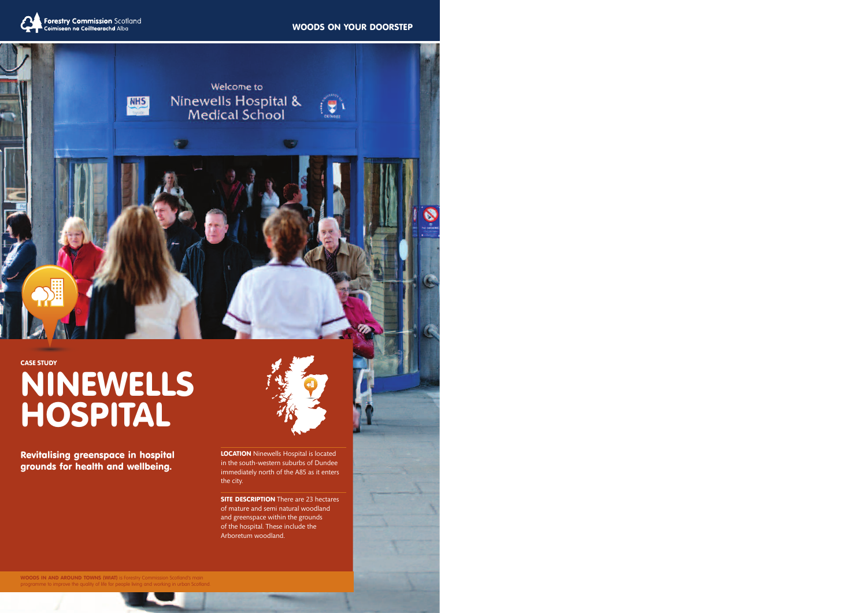#### **WOODS ON YOUR DOORSTEP**





**CASE STUDY**

# **NINEWELLS HOSPITAL**

**Revitalising greenspace in hospital grounds for health and wellbeing.**



**LOCATION** Ninewells Hospital is located in the south-western suburbs of Dundee immediately north of the A85 as it enters the city.

**SITE DESCRIPTION** There are 23 hectares of mature and semi natural woodland and greenspace within the grounds of the hospital. These include the Arboretum woodland.

**WOODS IN AND AROUND TOWNS (WIAT)** is Forestry Commission Scotland's m programme to improve the quality of life for people living and working in urban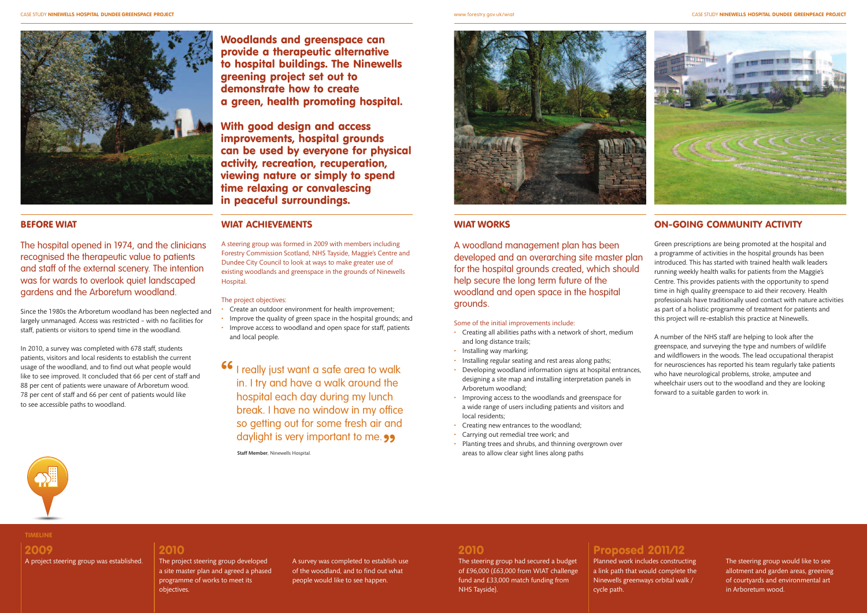

**Woodlands and greenspace can provide a therapeutic alternative to hospital buildings. The Ninewells greening project set out to demonstrate how to create a green, health promoting hospital.**

**With good design and access improvements, hospital grounds can be used by everyone for physical activity, recreation, recuperation, viewing nature or simply to spend time relaxing or convalescing in peaceful surroundings.**

#### **BEFORE WIAT**

The hospital opened in 1974, and the clinicians recognised the therapeutic value to patients and staff of the external scenery. The intention was for wards to overlook quiet landscaped gardens and the Arboretum woodland.

Since the 1980s the Arboretum woodland has been neglected and largely unmanaged. Access was restricted – with no facilities for staff, patients or visitors to spend time in the woodland.

In 2010, a survey was completed with 678 staff, students patients, visitors and local residents to establish the current usage of the woodland, and to find out what people would like to see improved. It concluded that 66 per cent of staff and 88 per cent of patients were unaware of Arboretum wood. 78 per cent of staff and 66 per cent of patients would like to see accessible paths to woodland.

#### **WIAT ACHIEVEMENTS**

A steering group was formed in 2009 with members including Forestry Commission Scotland, NHS Tayside, Maggie's Centre and Dundee City Council to look at ways to make greater use of existing woodlands and greenspace in the grounds of Ninewells Hospital.

#### The project objectives:

- Create an outdoor environment for health improvement;
- Improve the quality of green space in the hospital grounds; and
- Improve access to woodland and open space for staff, patients and local people.

**16** I really just want a safe area to walk<br>in. I try and have a walk around the in. I try and have a walk around the hospital each day during my lunch break. I have no window in my office so getting out for some fresh air and daylight is very important to me. **99**<br>Staff Member, Ninewells Hospital.



#### **TIMELINE**

# **2009**

A project steering group was established.

#### **2010**

The project steering group developed a site master plan and agreed a phased programme of works to meet its objectives.

A survey was completed to establish use of the woodland, and to find out what people would like to see happen.

www.forestry.gov.uk/wiat CASE STUDY **NINEWELLS HOSPITAL DUNDEE GREENPEACE PROJECT**

#### **WIAT WORKS**

A woodland management plan has been developed and an overarching site master plan for the hospital grounds created, which should help secure the long term future of the woodland and open space in the hospital grounds.

#### Some of the initial improvements include:

- Creating all abilities paths with a network of short, medium and long distance trails;
- Installing way marking;
- Installing regular seating and rest areas along paths;
- Developing woodland information signs at hospital entrances, designing a site map and installing interpretation panels in Arboretum woodland;
- Improving access to the woodlands and greenspace for a wide range of users including patients and visitors and local residents;
- Creating new entrances to the woodland;
- Carrying out remedial tree work; and
- Planting trees and shrubs, and thinning overgrown over areas to allow clear sight lines along paths



### **ON-GOING COMMUNITY ACTIVITY**

Green prescriptions are being promoted at the hospital and a programme of activities in the hospital grounds has been introduced. This has started with trained health walk leaders running weekly health walks for patients from the Maggie's Centre. This provides patients with the opportunity to spend time in high quality greenspace to aid their recovery. Health professionals have traditionally used contact with nature activities as part of a holistic programme of treatment for patients and this project will re-establish this practice at Ninewells.

A number of the NHS staff are helping to look after the greenspace, and surveying the type and numbers of wildlife and wildflowers in the woods. The lead occupational therapist for neurosciences has reported his team regularly take patients who have neurological problems, stroke, amputee and wheelchair users out to the woodland and they are looking forward to a suitable garden to work in.

# **2010**

The steering group had secured a budget of £96,000 (£63,000 from WIAT challenge fund and £33,000 match funding from NHS Tayside).

# **Proposed 2011/12**

Planned work includes constructing a link path that would complete the Ninewells greenways orbital walk / cycle path.

The steering group would like to see allotment and garden areas, greening of courtyards and environmental art in Arboretum wood.